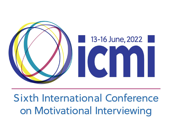

# **Sixth International Conference** on Motivational Interviewing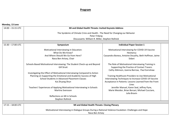## **Program**

**Monday, 13 June**

| $14:00 - 15:15$ UTC | MI and Global Health Threats: Invited Keynote Address                                                                                                                                                             |                                                                                                                                                                              |  |  |  |  |  |  |
|---------------------|-------------------------------------------------------------------------------------------------------------------------------------------------------------------------------------------------------------------|------------------------------------------------------------------------------------------------------------------------------------------------------------------------------|--|--|--|--|--|--|
|                     | The Syndemic of Climate Crisis and Health - The Need for Changing our Behavior                                                                                                                                    |                                                                                                                                                                              |  |  |  |  |  |  |
|                     | Peter Friberg                                                                                                                                                                                                     |                                                                                                                                                                              |  |  |  |  |  |  |
|                     | Discussants: William R. Miller, Stephen Rollnick                                                                                                                                                                  |                                                                                                                                                                              |  |  |  |  |  |  |
|                     |                                                                                                                                                                                                                   |                                                                                                                                                                              |  |  |  |  |  |  |
| $15:30 - 17:00$ UTC | Symposium                                                                                                                                                                                                         | <b>Individual Paper Session 1</b>                                                                                                                                            |  |  |  |  |  |  |
|                     | Motivational Interviewing in Education:<br>What Do We Know?                                                                                                                                                       | Motivational Interviewing for COVID-19 Vaccine<br>Hesitancy                                                                                                                  |  |  |  |  |  |  |
|                     | And Where Should We Go from Here?<br>Nava Ben-Artzey, Chair                                                                                                                                                       | Cassandra Boness, Antoine Douaihy, Beth Hoffman, Jaime<br>Sidani                                                                                                             |  |  |  |  |  |  |
|                     | Schools-Based Motivational Interviewing: The Student Check-up and Beyond<br><b>Gill Strait</b>                                                                                                                    | The Role of Motivational Interviewing Training in<br>Supporting the Practice of Contact Tracers<br>Cathy Atkinson, Joanna Barrow, Paul Earnshaw                              |  |  |  |  |  |  |
|                     | Investigating the Effect of Motivational Interviewing Compared to Action<br>Planning on Supporting the Emotional and Academic Success of High<br>School Students in Advanced Placement Classes<br>Kai Zhuang Shun | Training Healthcare Providers to Use Motivational<br>Interviewing Techniques to Increase COVID-19 Vaccine<br>Acceptance in Patients: Lessons Learned from the Front<br>Lines |  |  |  |  |  |  |
|                     | Teachers' Experiences of Applying Motivational Interviewing in Schools<br><b>Martina Svensson</b>                                                                                                                 | Jennifer Manuel, Karen Seal, Jeffrey Pyne,<br>Marie Mesidor, Brian Borsari, Michael Cucciare,<br>Julia Bravin                                                                |  |  |  |  |  |  |
|                     | Reflections on MI in Schools<br>Stephen Rollnick                                                                                                                                                                  |                                                                                                                                                                              |  |  |  |  |  |  |
|                     |                                                                                                                                                                                                                   |                                                                                                                                                                              |  |  |  |  |  |  |
| $17:15 - 18:00$ UTC | MI and Global Health Threats: Closing Plenary                                                                                                                                                                     |                                                                                                                                                                              |  |  |  |  |  |  |
|                     | Motivational Interviewing in Dialogue Groups During a National Violence Escalation: Challenges and Hope<br>Nava Ben Artzey                                                                                        |                                                                                                                                                                              |  |  |  |  |  |  |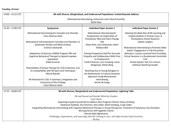### **Tuesday, 14 June**

| 14:00 - 15:15 UTC   | MI with Diverse, Marginalized, and Underserved Populations: Invited Keynote Address                                                                                                                                                                                                                                                                                                                                                                                                                                                                  |                                                                                                                                                                                                                                                                                                                                            |                                                                                                                                                                                                           |  |  |  |
|---------------------|------------------------------------------------------------------------------------------------------------------------------------------------------------------------------------------------------------------------------------------------------------------------------------------------------------------------------------------------------------------------------------------------------------------------------------------------------------------------------------------------------------------------------------------------------|--------------------------------------------------------------------------------------------------------------------------------------------------------------------------------------------------------------------------------------------------------------------------------------------------------------------------------------------|-----------------------------------------------------------------------------------------------------------------------------------------------------------------------------------------------------------|--|--|--|
|                     | Motivational Interviewing, Antiracism and Cultural Humility                                                                                                                                                                                                                                                                                                                                                                                                                                                                                          |                                                                                                                                                                                                                                                                                                                                            |                                                                                                                                                                                                           |  |  |  |
|                     |                                                                                                                                                                                                                                                                                                                                                                                                                                                                                                                                                      | Sylvie Naar                                                                                                                                                                                                                                                                                                                                |                                                                                                                                                                                                           |  |  |  |
|                     |                                                                                                                                                                                                                                                                                                                                                                                                                                                                                                                                                      |                                                                                                                                                                                                                                                                                                                                            |                                                                                                                                                                                                           |  |  |  |
| 15:30 - 17:00 UTC   | Symposium                                                                                                                                                                                                                                                                                                                                                                                                                                                                                                                                            | <b>Individual Paper Session 1</b>                                                                                                                                                                                                                                                                                                          | <b>Individual Paper Session 2</b>                                                                                                                                                                         |  |  |  |
|                     | Motivational Interviewing for Cannabis Use Disorder<br>Clara Oliveras Salvà<br>Motivational Interviewing for Cannabis Use Disorders: A<br>Systematic Review and Meta-Analysis<br>Cristina Calomarde                                                                                                                                                                                                                                                                                                                                                  | Motivational Interviewing for<br>Employment: An Exploration of<br>Practitioner Skill and Client Change<br><b>Talk</b><br>Eileen Britt, Sara Soleymani, Mark<br>Wallace-Bell                                                                                                                                                                | Opening the Black Box of MI Learning and<br>Implementation in Primary Care: A<br>Participatory Action Research<br>Sophie Langlois<br>Motivational Interviewing to Promote Older                           |  |  |  |
|                     | Adaptation of German-CANDIS Program (MI and<br>Cognitive Behavioral Therapy) to Spanish speaker<br>population<br>Pablo Guzman<br>Potentialities of Group Therapy for CUD treatment, and<br>its Compatibility with MI Spirit and Techniques<br>Mercè Balcells<br>MI Potential for CUD: A Summary, Integration and<br>Conclusion of the Findings<br>Clara Oliveras Salvà                                                                                                                                                                               | <b>Testing Prospective Staff for Accurate</b><br><b>Empathy and Collaboration Skills Prior</b><br>to Employment<br>Fredrik Eliasson, Lars Forsberg, Jonas<br>Rengensjö, Stefan Borg<br>Reaching Out to Young Refugees in<br>the Netherlands: A Cultural Sensitive<br><b>Approach Using Motivational</b><br>Interviewing<br>Jannet de Jonge | Adults' Engagement in Fall Prevention<br>Behaviors: Lessons Learned from Providing<br>Virtual Sessions in a Randomized Controlled<br>Trial<br>Hiroko Kiyoshi-Te0, Erin Lemon,<br>Kathlynn Northrup-Snyder |  |  |  |
|                     |                                                                                                                                                                                                                                                                                                                                                                                                                                                                                                                                                      |                                                                                                                                                                                                                                                                                                                                            |                                                                                                                                                                                                           |  |  |  |
| $17:15 - 18:00$ UTC |                                                                                                                                                                                                                                                                                                                                                                                                                                                                                                                                                      | MI with Diverse, Marginalized and Underserved Populations: Lightning Talks                                                                                                                                                                                                                                                                 |                                                                                                                                                                                                           |  |  |  |
|                     | MI and Sexual and Gender Minority Couples<br><b>Tyrel Starks</b><br>Expecting Couple-Focused MI to Address Non-Pregnant Partner Heavy Drinking<br>Stephanie Godleski, Kurt Dermen, Rina Eiden, Mark Feinberg, Craig Colder<br>Integrating Motivational Interviewing with Cognitive Behavioral Therapy in Group therapy for Treatment of Substance Use Disorders:<br>My Experience with Egyptian Clients<br>Ahmed Adel Alghonaimy<br>Challenges, Experiences, and Learnings with MI Training in Low- and High-Income Arab Countries<br><b>Rik Bes</b> |                                                                                                                                                                                                                                                                                                                                            |                                                                                                                                                                                                           |  |  |  |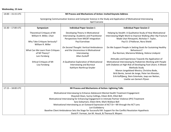### **Wednesday, 15 June**

| 14:00 - 15:15 UTC   | MI Process and Mechanisms of Action: Invited Keynote Address                                                                                                                                                                                                                   |                                                                                                                     |                                                                                                                                                                           |  |  |  |
|---------------------|--------------------------------------------------------------------------------------------------------------------------------------------------------------------------------------------------------------------------------------------------------------------------------|---------------------------------------------------------------------------------------------------------------------|---------------------------------------------------------------------------------------------------------------------------------------------------------------------------|--|--|--|
|                     | Synergizing Communication Science and Computer Science in the Study and Application of Motivational Interviewing                                                                                                                                                               |                                                                                                                     |                                                                                                                                                                           |  |  |  |
|                     | April Carcone                                                                                                                                                                                                                                                                  |                                                                                                                     |                                                                                                                                                                           |  |  |  |
|                     |                                                                                                                                                                                                                                                                                |                                                                                                                     |                                                                                                                                                                           |  |  |  |
| 15:30 - 17:00 UTC   | Symposium                                                                                                                                                                                                                                                                      | <b>Individual Paper Session 1</b>                                                                                   | <b>Individual Paper Session 2</b>                                                                                                                                         |  |  |  |
|                     | Theoretical Critiques of MI<br>William R. Miller, Chair                                                                                                                                                                                                                        | Developing Theory in Motivational<br>Interviewing: Academic and Practitioner<br>Perspectives from MICBT Integration | Helping by Stealth: A Qualitative Study of How Motivational<br>Interviewing Might Work to Improve Walking after Hip Fracture<br>Made Utari Rimayanti, Nicholas F. Taylor, |  |  |  |
|                     | Why Take Critiques Seriously?<br>William R. Miller                                                                                                                                                                                                                             | Paul Earnshaw                                                                                                       | Paul D. O'Halloran, Nora Shield                                                                                                                                           |  |  |  |
|                     | What Can We Learn from Critiques                                                                                                                                                                                                                                               | On Second Thought: Vertical Ambivalence<br>and the Unconscious in Motivational                                      | Do We Support People in Setting Goals for Sustaining Healthy<br>Behaviours?                                                                                               |  |  |  |
|                     | of MI Theory?<br>Lars Forsberg                                                                                                                                                                                                                                                 | Interviewing<br>Allan Zuckoff                                                                                       | Åsa Norman, Marianna Moberg, Helena Lindqvist                                                                                                                             |  |  |  |
|                     |                                                                                                                                                                                                                                                                                |                                                                                                                     | Attitudes and Experiences Towards the Application of                                                                                                                      |  |  |  |
|                     | <b>Ethical Critiques of MI</b><br>Lisa Forsberg                                                                                                                                                                                                                                | A Qualitative Exploration of Motivational<br><b>Interviewing and Burnout</b><br>Kathlynn Northrup-Snyder            | Motivational Interviewing by Podiatrists Working with People<br>with Diabetes at High-Risk of Developing Foot Ulcers: A Mixed-<br>Methods Study                           |  |  |  |
|                     |                                                                                                                                                                                                                                                                                |                                                                                                                     | Manon Jongebloed-Westra, Christina Bode,<br>Britt Bente, Jannet de Jonge, Peter ten Klooster,                                                                             |  |  |  |
|                     |                                                                                                                                                                                                                                                                                |                                                                                                                     | Erik Koffijberg, Stein Exterkate, Jaap van Netten,<br>Lisette van Gemert-Pijnen                                                                                           |  |  |  |
|                     |                                                                                                                                                                                                                                                                                |                                                                                                                     |                                                                                                                                                                           |  |  |  |
| $17:15 - 18:00$ UTC | MI Process and Mechanisms of Action: Lightning Talks<br>Motivational Interviewing to Enhance Adolescent Mental Health Treatment Engagement                                                                                                                                     |                                                                                                                     |                                                                                                                                                                           |  |  |  |
|                     |                                                                                                                                                                                                                                                                                |                                                                                                                     |                                                                                                                                                                           |  |  |  |
|                     | Shaystah Dean, Sunny Collings, Eileen Britt, Elliot Bell                                                                                                                                                                                                                       |                                                                                                                     |                                                                                                                                                                           |  |  |  |
|                     | Motivational Interviewing for Enhancing Engagement in Intimate Partner Violence (IPV) Treatment                                                                                                                                                                                |                                                                                                                     |                                                                                                                                                                           |  |  |  |
|                     |                                                                                                                                                                                                                                                                                | Sara Soleymani, Eileen Britt, Mark Wallace-Bell                                                                     |                                                                                                                                                                           |  |  |  |
|                     | Motivational Interviewing as an Outward Expression of ACT Or-MI through the ACT Lens<br>Lori Eickleberry<br>Baseline Client Ambivalence Sets the Stage for Successful MI: Support for the Conflict Resolution Hypothesis<br>David P. Forman, Jon M. Houck, & Theresa B. Moyers |                                                                                                                     |                                                                                                                                                                           |  |  |  |
|                     |                                                                                                                                                                                                                                                                                |                                                                                                                     |                                                                                                                                                                           |  |  |  |
|                     |                                                                                                                                                                                                                                                                                |                                                                                                                     |                                                                                                                                                                           |  |  |  |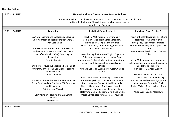### **Thursday, 16 June**

| 14:00 - 15:15 UTC   | Helping Individuals Change: Invited Keynote Address                                           |                                                     |                                             |  |  |  |  |  |
|---------------------|-----------------------------------------------------------------------------------------------|-----------------------------------------------------|---------------------------------------------|--|--|--|--|--|
|                     | "I like to drink. When I don't have my drink, I miss it but sometimes I think I should stop." |                                                     |                                             |  |  |  |  |  |
|                     | A Neurobiological and Clinical Discussion about Ambivalence                                   |                                                     |                                             |  |  |  |  |  |
|                     |                                                                                               | Jean-Bernard Daeppen                                |                                             |  |  |  |  |  |
|                     |                                                                                               |                                                     |                                             |  |  |  |  |  |
| $15:30 - 17:00$ UTC | Symposium                                                                                     | <b>Individual Paper Session 1</b>                   | <b>Individual Paper Session 2</b>           |  |  |  |  |  |
|                     | BAP-MI: Teaching and Evaluating a Stepped-                                                    | Teaching Motivational Interviewing in               | Impact of Brief Intervention on Patient     |  |  |  |  |  |
|                     | Care Approach to Health Behavior Change                                                       | <b>Communication Training for Veterinary</b>        | Readiness for Change within                 |  |  |  |  |  |
|                     | Steven Cole, Chair                                                                            | Practitioners Using a Serious Game                  | <b>Emergency Department-Initiated</b>       |  |  |  |  |  |
|                     |                                                                                               | Linda Dorrestein, Jannet de Jonge, Herman           | <b>Buprenorphine Project for Opioid Use</b> |  |  |  |  |  |
|                     | BAP-MI for Medical Students at the Donald                                                     | Barkema, Caroline Ritter                            | Disorder                                    |  |  |  |  |  |
|                     | and Barbara Zucker School of Medicine at                                                      |                                                     | Suzanne Lane, Sarah Gainey, Audrey          |  |  |  |  |  |
|                     | Hofstra/Northwell (ZSOM): Teaching and                                                        | Strengthening the Impact of Digital Cognitive       | Colin                                       |  |  |  |  |  |
|                     | Evaluation                                                                                    | Behavioral Interventions through a Dual             |                                             |  |  |  |  |  |
|                     | Taranjeet Ahuja                                                                               | Intervention: Proficient Motivational Interviewing- | Using Motivational Interviewing for         |  |  |  |  |  |
|                     |                                                                                               | based Health Coaching Plus In-Application           | Substance Use Intervention Delivery via     |  |  |  |  |  |
|                     | BAP-MI for Preventive Medicine Residents at                                                   | Techniques                                          | Social Media Platforms                      |  |  |  |  |  |
|                     | University of California San Diego: Teaching                                                  | Amanda Gabarda, Susan Butterworth, Valerie          | Erin Bonar, Maureen Walton                  |  |  |  |  |  |
|                     | and Evaluation                                                                                | Silfee                                              |                                             |  |  |  |  |  |
|                     | Deepa Sannidhi                                                                                |                                                     | The Effectiveness of the Teen               |  |  |  |  |  |
|                     |                                                                                               | Virtual Self-Conversation Using Motivational        | Marijuana Check-Up in Reducing              |  |  |  |  |  |
|                     | BAP-MI for Preventive Medicine Residents at                                                   | Interviewing Microskills To Promote Healthy         | Cannabis Use and Disorder Symptoms:         |  |  |  |  |  |
|                     | Stony Brook and the Northport VA: Teaching                                                    | Habits in Obese People: A Usability Study           | A Randomized Controlled Trial               |  |  |  |  |  |
|                     | and Evaluation                                                                                | Pilar Lusilla-palacios, Dimitra Anastasiadou,       | Denise Walker, Bryan Hartzler, Kevin        |  |  |  |  |  |
|                     | Deirdra Frum-Vassallo                                                                         | Julia Vazquez, Bernhard Spanlang, Mel Slater,       | King,                                       |  |  |  |  |  |
|                     |                                                                                               | Pol Herrero, Gemma Parramon, Andreea Ciudin,        | Aaron Lyon, Lauren Matthews                 |  |  |  |  |  |
|                     | <b>Comments on Teaching and Evaluating</b><br>BAP-MI                                          | Marta Comas, Jose Antonio Ramos-Quiroga             |                                             |  |  |  |  |  |
|                     | <b>Denise Ernst</b>                                                                           |                                                     |                                             |  |  |  |  |  |
|                     |                                                                                               |                                                     |                                             |  |  |  |  |  |
| $17:15 - 18:00$ UTC |                                                                                               | <b>Closing Session</b>                              |                                             |  |  |  |  |  |
|                     | ICMI-VOLUTION: Past, Present, and Future                                                      |                                                     |                                             |  |  |  |  |  |